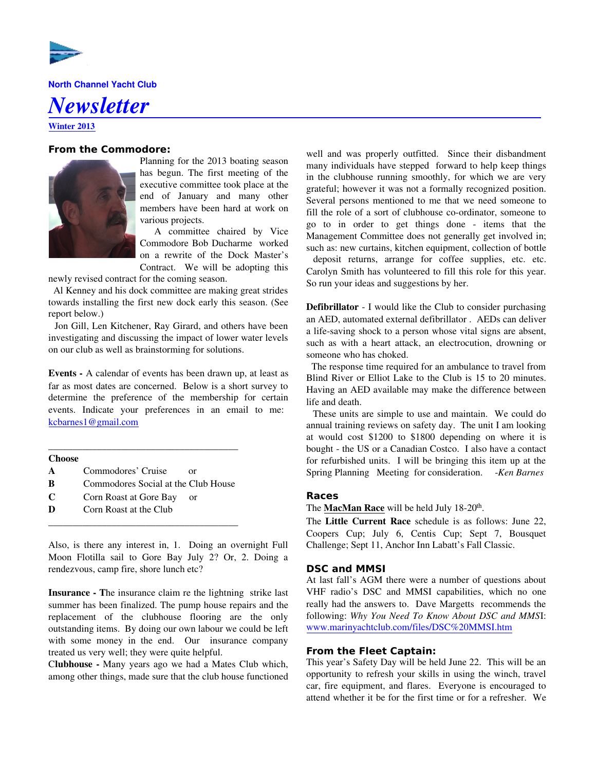

North Channel Yacht Club

# Newsletter

Winter 2013

# **From the Commodore:**



Planning for the 2013 boating season has begun. The first meeting of the executive committee took place at the end of January and many other members have been hard at work on various projects.

 A committee chaired by Vice Commodore Bob Ducharme worked on a rewrite of the Dock Master's Contract. We will be adopting this

newly revised contract for the coming season.

 Al Kenney and his dock committee are making great strides towards installing the first new dock early this season. (See report below.)

 Jon Gill, Len Kitchener, Ray Girard, and others have been investigating and discussing the impact of lower water levels on our club as well as brainstorming for solutions.

Events - A calendar of events has been drawn up, at least as far as most dates are concerned. Below is a short survey to determine the preference of the membership for certain events. Indicate your preferences in an email to me: kcbarnes1@gmail.com

| <b>Choose</b> |                                     |    |
|---------------|-------------------------------------|----|
| $\mathbf{A}$  | Commodores' Cruise                  | оr |
| B             | Commodores Social at the Club House |    |
| C             | Corn Roast at Gore Bay              | or |
| Ð             | Corn Roast at the Club              |    |

\_\_\_\_\_\_\_\_\_\_\_\_\_\_\_\_\_\_\_\_\_\_\_\_\_\_\_\_\_\_\_\_\_\_\_\_\_\_\_

Also, is there any interest in, 1. Doing an overnight Full Moon Flotilla sail to Gore Bay July 2? Or, 2. Doing a rendezvous, camp fire, shore lunch etc?

Insurance - The insurance claim re the lightning strike last summer has been finalized. The pump house repairs and the replacement of the clubhouse flooring are the only outstanding items. By doing our own labour we could be left with some money in the end. Our insurance company treated us very well; they were quite helpful.

Clubhouse - Many years ago we had a Mates Club which, among other things, made sure that the club house functioned well and was properly outfitted. Since their disbandment many individuals have stepped forward to help keep things in the clubhouse running smoothly, for which we are very grateful; however it was not a formally recognized position. Several persons mentioned to me that we need someone to fill the role of a sort of clubhouse co-ordinator, someone to go to in order to get things done - items that the Management Committee does not generally get involved in; such as: new curtains, kitchen equipment, collection of bottle

 deposit returns, arrange for coffee supplies, etc. etc. Carolyn Smith has volunteered to fill this role for this year. So run your ideas and suggestions by her.

Defibrillator - I would like the Club to consider purchasing an AED, automated external defibrillator . AEDs can deliver a life-saving shock to a person whose vital signs are absent, such as with a heart attack, an electrocution, drowning or someone who has choked.

 The response time required for an ambulance to travel from Blind River or Elliot Lake to the Club is 15 to 20 minutes. Having an AED available may make the difference between life and death.

 These units are simple to use and maintain. We could do annual training reviews on safety day. The unit I am looking at would cost \$1200 to \$1800 depending on where it is bought - the US or a Canadian Costco. I also have a contact for refurbished units. I will be bringing this item up at the Spring Planning Meeting for consideration. - Ken Barnes

# **Races**

The **MacMan Race** will be held July  $18-20^{th}$ .

The Little Current Race schedule is as follows: June 22, Coopers Cup; July 6, Centis Cup; Sept 7, Bousquet Challenge; Sept 11, Anchor Inn Labatt's Fall Classic.

# **DSC and MMSI**

At last fall's AGM there were a number of questions about VHF radio's DSC and MMSI capabilities, which no one really had the answers to. Dave Margetts recommends the following: Why You Need To Know About DSC and MMSI: www.marinyachtclub.com/files/DSC%20MMSI.htm

# **From the Fleet Captain:**

This year's Safety Day will be held June 22. This will be an opportunity to refresh your skills in using the winch, travel car, fire equipment, and flares. Everyone is encouraged to attend whether it be for the first time or for a refresher. We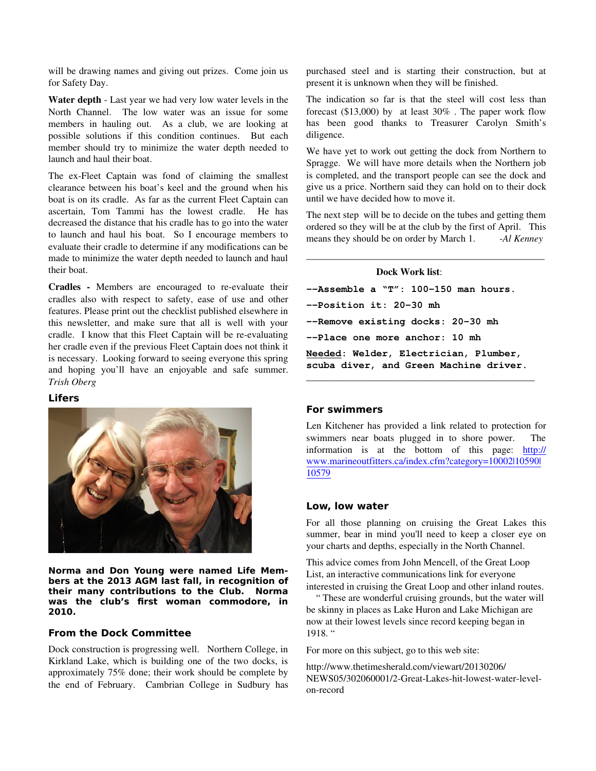will be drawing names and giving out prizes. Come join us for Safety Day.

Water depth - Last year we had very low water levels in the North Channel. The low water was an issue for some members in hauling out. As a club, we are looking at possible solutions if this condition continues. But each member should try to minimize the water depth needed to launch and haul their boat.

The ex-Fleet Captain was fond of claiming the smallest clearance between his boat's keel and the ground when his boat is on its cradle. As far as the current Fleet Captain can ascertain, Tom Tammi has the lowest cradle. He has decreased the distance that his cradle has to go into the water to launch and haul his boat. So I encourage members to evaluate their cradle to determine if any modifications can be made to minimize the water depth needed to launch and haul their boat.

Cradles - Members are encouraged to re-evaluate their cradles also with respect to safety, ease of use and other features. Please print out the checklist published elsewhere in this newsletter, and make sure that all is well with your cradle. I know that this Fleet Captain will be re-evaluating her cradle even if the previous Fleet Captain does not think it is necessary. Looking forward to seeing everyone this spring and hoping you'll have an enjoyable and safe summer. Trish Oberg

#### **Lifers**



**Norma and Don Young were named Life Members at the 2013 AGM last fall, in recognition of their many contributions to the Club. Norma was the club's first woman commodore, in 2010.**

# **From the Dock Committee**

Dock construction is progressing well. Northern College, in Kirkland Lake, which is building one of the two docks, is approximately 75% done; their work should be complete by the end of February. Cambrian College in Sudbury has purchased steel and is starting their construction, but at present it is unknown when they will be finished.

The indication so far is that the steel will cost less than forecast (\$13,000) by at least 30% . The paper work flow has been good thanks to Treasurer Carolyn Smith's diligence.

We have yet to work out getting the dock from Northern to Spragge. We will have more details when the Northern job is completed, and the transport people can see the dock and give us a price. Northern said they can hold on to their dock until we have decided how to move it.

The next step will be to decide on the tubes and getting them ordered so they will be at the club by the first of April. This means they should be on order by March 1. -Al Kenney

\_\_\_\_\_\_\_\_\_\_\_\_\_\_\_\_\_\_\_\_\_\_\_\_\_\_\_\_\_\_\_\_\_\_\_\_\_\_\_\_\_\_\_\_\_\_\_\_\_

#### Dock Work list:

--Assemble a "T": 100-150 man hours. --Position it: 20-30 mh --Remove existing docks: 20-30 mh --Place one more anchor: 10 mh Needed: Welder, Electrician, Plumber, scuba diver, and Green Machine driver.

\_\_\_\_\_\_\_\_\_\_\_\_\_\_\_\_\_\_\_\_\_\_\_\_\_\_\_\_\_\_\_\_\_\_\_\_\_\_\_\_\_\_\_\_\_\_\_

#### **For swimmers**

Len Kitchener has provided a link related to protection for swimmers near boats plugged in to shore power. The information is at the bottom of this page: http:// www.marineoutfitters.ca/index.cfm?category=10002|10590| 10579

#### **Low, low water**

For all those planning on cruising the Great Lakes this summer, bear in mind you'll need to keep a closer eye on your charts and depths, especially in the North Channel.

This advice comes from John Mencell, of the Great Loop List, an interactive communications link for everyone interested in cruising the Great Loop and other inland routes.

 " These are wonderful cruising grounds, but the water will be skinny in places as Lake Huron and Lake Michigan are now at their lowest levels since record keeping began in 1918. "

For more on this subject, go to this web site:

http://www.thetimesherald.com/viewart/20130206/ NEWS05/302060001/2-Great-Lakes-hit-lowest-water-levelon-record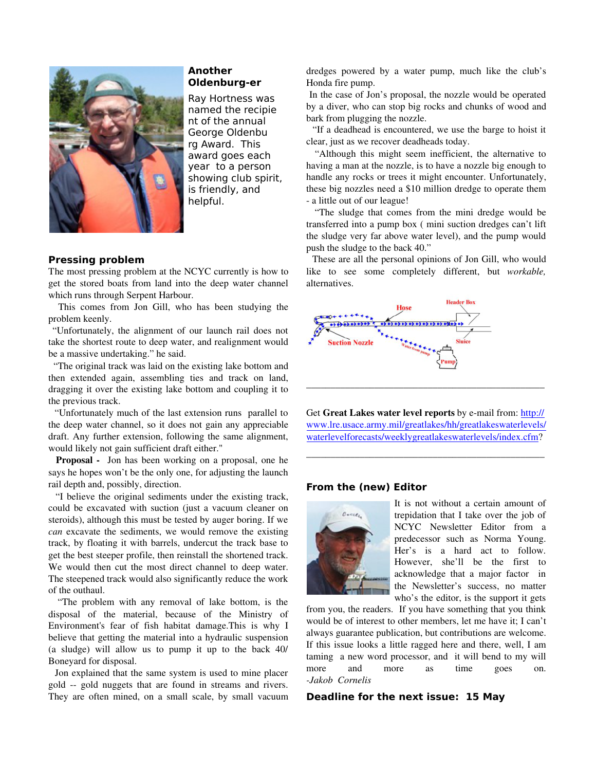

# **Another Oldenburg-er**

Ray Hortness was named the recipie nt of the annual George Oldenbu rg Award. This award goes each year to a person showing club spirit, is friendly, and helpful.

# **Pressing problem**

The most pressing problem at the NCYC currently is how to get the stored boats from land into the deep water channel which runs through Serpent Harbour.

 This comes from Jon Gill, who has been studying the problem keenly.

 "Unfortunately, the alignment of our launch rail does not take the shortest route to deep water, and realignment would be a massive undertaking." he said.

 "The original track was laid on the existing lake bottom and then extended again, assembling ties and track on land, dragging it over the existing lake bottom and coupling it to the previous track.

 "Unfortunately much of the last extension runs parallel to the deep water channel, so it does not gain any appreciable draft. Any further extension, following the same alignment, would likely not gain sufficient draft either."

 Proposal - Jon has been working on a proposal, one he says he hopes won't be the only one, for adjusting the launch rail depth and, possibly, direction.

 "I believe the original sediments under the existing track, could be excavated with suction (just a vacuum cleaner on steroids), although this must be tested by auger boring. If we can excavate the sediments, we would remove the existing track, by floating it with barrels, undercut the track base to get the best steeper profile, then reinstall the shortened track. We would then cut the most direct channel to deep water. The steepened track would also significantly reduce the work of the outhaul.

 "The problem with any removal of lake bottom, is the disposal of the material, because of the Ministry of Environment's fear of fish habitat damage.This is why I believe that getting the material into a hydraulic suspension (a sludge) will allow us to pump it up to the back 40/ Boneyard for disposal.

 Jon explained that the same system is used to mine placer gold -- gold nuggets that are found in streams and rivers. They are often mined, on a small scale, by small vacuum dredges powered by a water pump, much like the club's Honda fire pump.

 In the case of Jon's proposal, the nozzle would be operated by a diver, who can stop big rocks and chunks of wood and bark from plugging the nozzle.

 "If a deadhead is encountered, we use the barge to hoist it clear, just as we recover deadheads today.

 "Although this might seem inefficient, the alternative to having a man at the nozzle, is to have a nozzle big enough to handle any rocks or trees it might encounter. Unfortunately, these big nozzles need a \$10 million dredge to operate them - a little out of our league!

 "The sludge that comes from the mini dredge would be transferred into a pump box ( mini suction dredges can't lift the sludge very far above water level), and the pump would push the sludge to the back 40."

 These are all the personal opinions of Jon Gill, who would like to see some completely different, but workable, alternatives.



Get Great Lakes water level reports by e-mail from: http:// www.lre.usace.army.mil/greatlakes/hh/greatlakeswaterlevels/ waterlevelforecasts/weeklygreatlakeswaterlevels/index.cfm?

\_\_\_\_\_\_\_\_\_\_\_\_\_\_\_\_\_\_\_\_\_\_\_\_\_\_\_\_\_\_\_\_\_\_\_\_\_\_\_\_\_\_\_\_\_\_\_\_\_

# **From the (new) Editor**



It is not without a certain amount of trepidation that I take over the job of NCYC Newsletter Editor from a predecessor such as Norma Young. Her's is a hard act to follow. However, she'll be the first to acknowledge that a major factor in the Newsletter's success, no matter who's the editor, is the support it gets

from you, the readers. If you have something that you think would be of interest to other members, let me have it; I can't always guarantee publication, but contributions are welcome. If this issue looks a little ragged here and there, well, I am taming a new word processor, and it will bend to my will more and more as time goes on. -Jakob Cornelis

#### **Deadline for the next issue: 15 May**